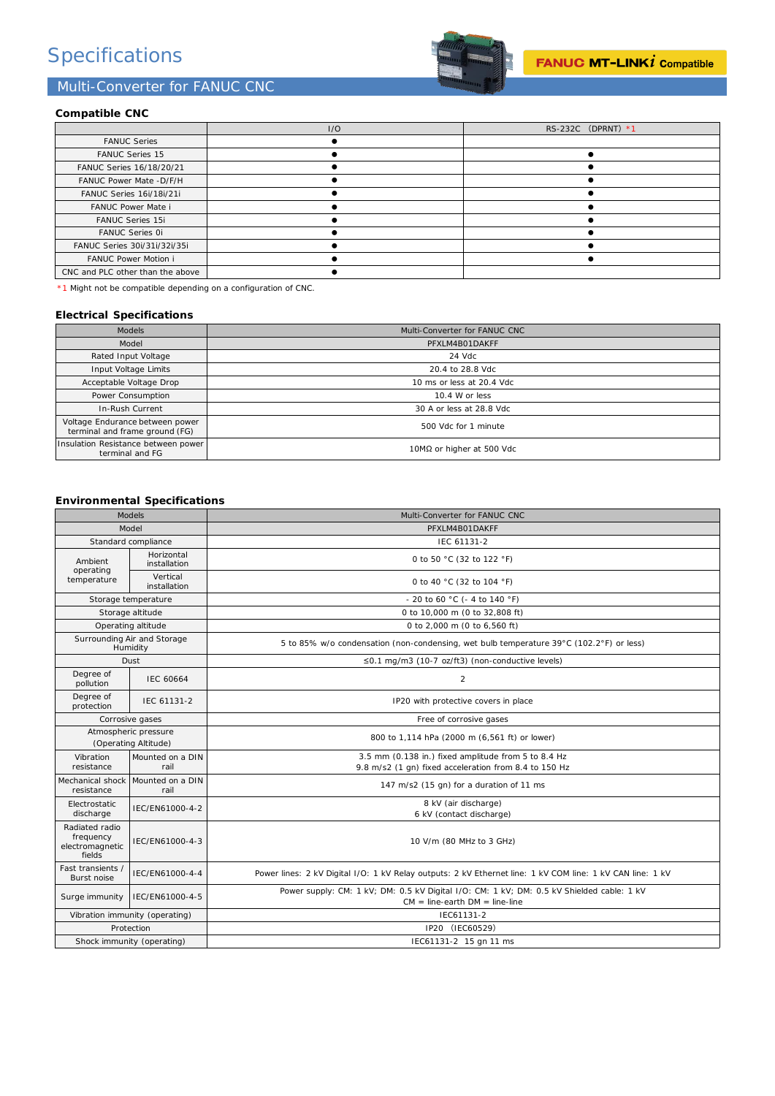## Specifications

### Multi-Converter for FANUC CNC



### **Compatible CNC**

|                                  | 1/O | RS-232C (DPRNT) *1 |
|----------------------------------|-----|--------------------|
| <b>FANUC Series</b>              |     |                    |
| <b>FANUC Series 15</b>           |     |                    |
| FANUC Series 16/18/20/21         |     |                    |
| FANUC Power Mate -D/F/H          |     |                    |
| FANUC Series 16i/18i/21i         |     |                    |
| FANUC Power Mate i               |     |                    |
| <b>FANUC Series 15i</b>          |     |                    |
| <b>FANUC Series 0i</b>           |     |                    |
| FANUC Series 30i/31i/32i/35i     |     |                    |
| <b>FANUC Power Motion i</b>      |     |                    |
| CNC and PLC other than the above |     |                    |

\*1 Might not be compatible depending on a configuration of CNC.

### **Electrical Specifications**

| <b>Models</b>                                                     | Multi-Converter for FANUC CNC |  |
|-------------------------------------------------------------------|-------------------------------|--|
| Model                                                             | PFXLM4B01DAKFF                |  |
| Rated Input Voltage                                               | 24 Vdc                        |  |
| Input Voltage Limits                                              | 20.4 to 28.8 Vdc              |  |
| Acceptable Voltage Drop                                           | 10 ms or less at 20.4 Vdc     |  |
| Power Consumption                                                 | 10.4 W or less                |  |
| In-Rush Current                                                   | 30 A or less at 28.8 Vdc      |  |
| Voltage Endurance between power<br>terminal and frame ground (FG) | 500 Vdc for 1 minute          |  |
| Insulation Resistance between power<br>terminal and FG            | 10MΩ or higher at 500 Vdc     |  |

### **Environmental Specifications**

| <b>Models</b>                                            |                            | Multi-Converter for FANUC CNC                                                                                                     |  |
|----------------------------------------------------------|----------------------------|-----------------------------------------------------------------------------------------------------------------------------------|--|
|                                                          | Model                      | PFXLM4B01DAKFF                                                                                                                    |  |
|                                                          | Standard compliance        | IEC 61131-2                                                                                                                       |  |
| Ambient<br>operating<br>temperature                      | Horizontal<br>installation | 0 to 50 °C (32 to 122 °F)                                                                                                         |  |
|                                                          | Vertical<br>installation   | 0 to 40 °C (32 to 104 °F)                                                                                                         |  |
|                                                          | Storage temperature        | - 20 to 60 °C (- 4 to 140 °F)                                                                                                     |  |
|                                                          | Storage altitude           | 0 to 10,000 m (0 to 32,808 ft)                                                                                                    |  |
|                                                          | Operating altitude         | 0 to 2,000 m (0 to 6,560 ft)                                                                                                      |  |
| Surrounding Air and Storage<br>Humidity                  |                            | 5 to 85% w/o condensation (non-condensing, wet bulb temperature 39°C (102.2°F) or less)                                           |  |
| Dust                                                     |                            | $\leq$ 0.1 mg/m3 (10-7 oz/ft3) (non-conductive levels)                                                                            |  |
| Degree of<br>pollution                                   | <b>IEC 60664</b>           | $\overline{2}$                                                                                                                    |  |
| Degree of<br>protection                                  | IFC 61131-2                | IP20 with protective covers in place                                                                                              |  |
| Corrosive gases                                          |                            | Free of corrosive gases                                                                                                           |  |
| Atmospheric pressure<br>(Operating Altitude)             |                            | 800 to 1,114 hPa (2000 m (6,561 ft) or lower)                                                                                     |  |
| Vibration                                                | Mounted on a DIN           | 3.5 mm (0.138 in.) fixed amplitude from 5 to 8.4 Hz                                                                               |  |
| resistance                                               | rail                       | 9.8 m/s2 (1 gn) fixed acceleration from 8.4 to 150 Hz                                                                             |  |
| Mechanical shock<br>resistance                           | Mounted on a DIN<br>rail   | 147 m/s2 (15 gn) for a duration of 11 ms                                                                                          |  |
| Electrostatic                                            | IEC/EN61000-4-2            | 8 kV (air discharge)                                                                                                              |  |
| discharge                                                |                            | 6 kV (contact discharge)                                                                                                          |  |
| Radiated radio<br>frequency<br>electromagnetic<br>fields | IEC/EN61000-4-3            | 10 V/m (80 MHz to 3 GHz)                                                                                                          |  |
| Fast transients /<br><b>Burst noise</b>                  | IEC/EN61000-4-4            | Power lines: 2 kV Digital I/O: 1 kV Relay outputs: 2 kV Ethernet line: 1 kV COM line: 1 kV CAN line: 1 kV                         |  |
| Surge immunity                                           | IEC/EN61000-4-5            | Power supply: CM: 1 kV; DM: 0.5 kV Digital I/O: CM: 1 kV; DM: 0.5 kV Shielded cable: 1 kV<br>$CM = line$ -earth $DM = line$ -line |  |
| Vibration immunity (operating)                           |                            | IEC61131-2                                                                                                                        |  |
| Protection                                               |                            | IP20 (IEC60529)                                                                                                                   |  |
| Shock immunity (operating)                               |                            | IEC61131-2 15 gn 11 ms                                                                                                            |  |